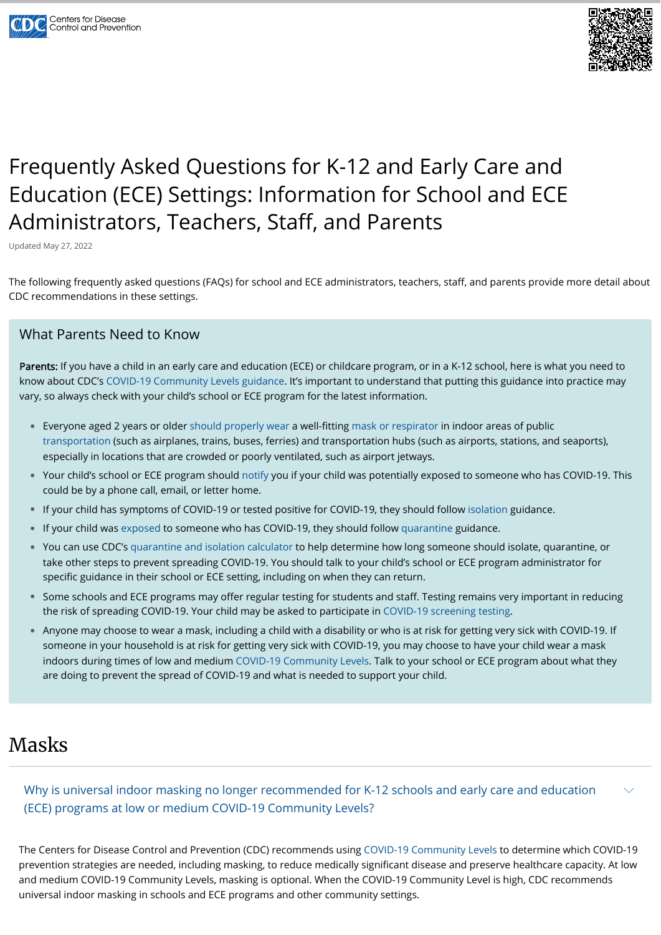



# Frequently Asked Questions for K-12 and Early Care and Education (ECE) Settings: Information for School and ECE Administrators, Teachers, Staff, and Parents

Updated May 27, 2022

The following frequently asked questions (FAQs) for school and ECE administrators, teachers, staff, and parents provide more detail about CDC recommendations in these settings.

Parents: If you have a child in an early care and education (ECE) or childcare program, or in a K-12 school, here is what you need to know about CDC's [COVID-19 Community Levels guidance](https://www.cdc.gov/coronavirus/2019-ncov/science/community-levels.html?msclkid=c6264aabb43011ec9f1814ab7fe7520a). It's important to understand that putting this guidance into practice may vary, so always check with your child's school or ECE program for the latest information.

### What Parents Need to Know

#### Why is universal indoor masking no longer recommended for K-12 schools and early care and education (ECE) programs at low or medium COVID-19 Community Levels?  $\smile$

- Everyone aged 2 years or older [should properly wear](https://www.cdc.gov/coronavirus/2019-ncov/travelers/masks-public-transportation.html) a well-fitting [mask or respirator](https://www.cdc.gov/coronavirus/2019-ncov/prevent-getting-sick/types-of-masks.html) in indoor areas of public [transportation](https://www.cdc.gov/coronavirus/2019-ncov/travelers/index.html) (such as airplanes, trains, buses, ferries) and transportation hubs (such as airports, stations, and seaports), especially in locations that are crowded or poorly ventilated, such as airport jetways.
- Your child's school or ECE program should [notify](https://www.cdc.gov/coronavirus/2019-ncov/community/schools-childcare/K-12-contact-tracing.html) you if your child was potentially exposed to someone who has COVID-19. This could be by a phone call, email, or letter home.
- If your child has symptoms of COVID-19 or tested positive for COVID-19, they should follow [isolation](https://www.cdc.gov/coronavirus/2019-ncov/community/schools-childcare/k-12-contact-tracing/about-isolation.html) guidance.  $\bullet$
- If your child was [exposed](https://www.cdc.gov/coronavirus/2019-ncov/daily-life-coping/K-12-infographic.html) to someone who has COVID-19, they should follow [quarantine](https://www.cdc.gov/coronavirus/2019-ncov/your-health/quarantine-isolation.html#quarantine) guidance.  $\bullet$
- You can use CDC's [quarantine and isolation calculator](https://www.cdc.gov/coronavirus/2019-ncov/your-health/quarantine-isolation.html) to help determine how long someone should isolate, quarantine, or take other steps to prevent spreading COVID-19. You should talk to your child's school or ECE program administrator for specific guidance in their school or ECE setting, including on when they can return.
- Some schools and ECE programs may offer regular testing for students and staff. Testing remains very important in reducing the risk of spreading COVID-19. Your child may be asked to participate in [COVID-19 screening testing](https://www.cdc.gov/coronavirus/2019-ncov/community/schools-childcare/what-you-should-know.html).
- Anyone may choose to wear a mask, including a child with a disability or who is at risk for getting very sick with COVID-19. If someone in your household is at risk for getting very sick with COVID-19, you may choose to have your child wear a mask indoors during times of low and medium [COVID-19 Community Levels.](https://www.cdc.gov/coronavirus/2019-ncov/your-health/covid-by-county.html) Talk to your school or ECE program about what they are doing to prevent the spread of COVID-19 and what is needed to support your child.

### Masks

The Centers for Disease Control and Prevention (CDC) recommends using [COVID-19 Community Levels](https://www.cdc.gov/coronavirus/2019-ncov/science/community-levels.html) to determine which COVID-19 prevention strategies are needed, including masking, to reduce medically significant disease and preserve healthcare capacity. At low and medium COVID-19 Community Levels, masking is optional. When the COVID-19 Community Level is high, CDC recommends universal indoor masking in schools and ECE programs and other community settings.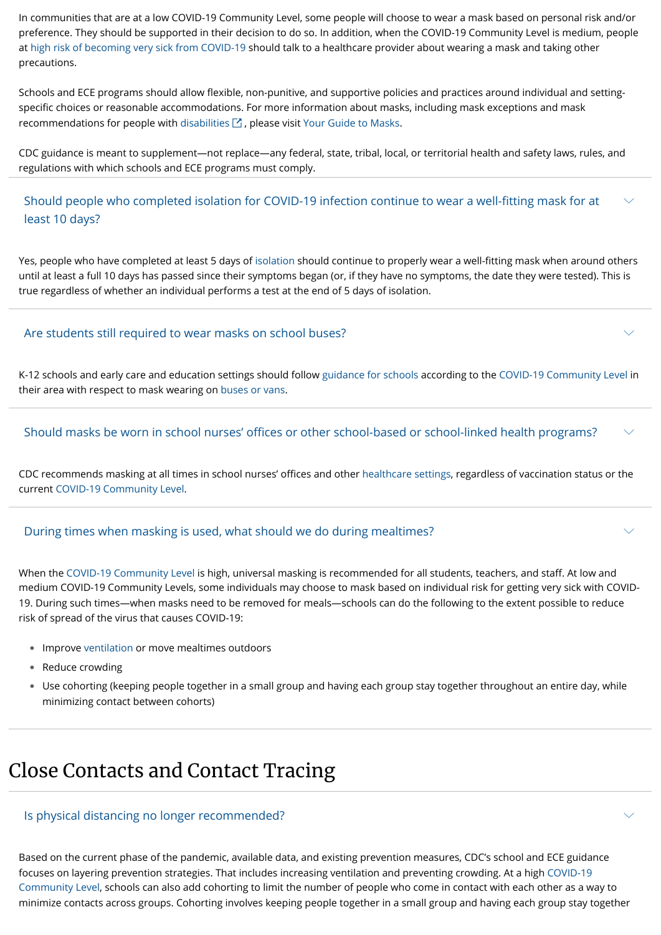In communities that are at a low COVID-19 Community Level, some people will choose to wear a mask based on personal risk and/or preference. They should be supported in their decision to do so. In addition, when the COVID-19 Community Level is medium, people at [high risk of becoming very sick from COVID-19](https://www.cdc.gov/coronavirus/2019-ncov/need-extra-precautions/people-with-medical-conditions.html) should talk to a healthcare provider about wearing a mask and taking other precautions.

Schools and ECE programs should allow flexible, non-punitive, and supportive policies and practices around individual and settingspecific choices or reasonable accommodations. For more information about masks, including mask exceptions and mask recommendations for people with [disabilities](https://sites.ed.gov/idea/updated-covid-19-guidance-and-resources-for-schools-students-with-disabilities/)  $\boxtimes$  , please visit [Your Guide to Masks.](https://www.cdc.gov/coronavirus/2019-ncov/prevent-getting-sick/about-face-coverings.html)

Should people who completed isolation for COVID-19 infection continue to wear a well-fitting mask for at least 10 days?  $\smile$ 

CDC guidance is meant to supplement—not replace—any federal, state, tribal, local, or territorial health and safety laws, rules, and regulations with which schools and ECE programs must comply.

#### Should masks be worn in school nurses' offices or other school-based or school-linked health programs?  $\smile$

Yes, people who have completed at least 5 days of [isolation](https://www.cdc.gov/coronavirus/2019-ncov/your-health/quarantine-isolation.html#isolate) should continue to properly wear a well-fitting mask when around others until at least a full 10 days has passed since their symptoms began (or, if they have no symptoms, the date they were tested). This is true regardless of whether an individual performs a test at the end of 5 days of isolation.

- Improve [ventilation](https://www.cdc.gov/coronavirus/2019-ncov/community/schools-childcare/ventilation.html) or move mealtimes outdoors
- Reduce crowding •
- Use cohorting (keeping people together in a small group and having each group stay together throughout an entire day, while minimizing contact between cohorts)

K-12 schools and early care and education settings should follow [guidance for schools](https://www.cdc.gov/coronavirus/2019-ncov/community/schools-childcare/index.html) according to the [COVID-19 Community Level](https://www.cdc.gov/coronavirus/2019-ncov/your-health/covid-by-county.html) in their area with respect to mask wearing on [buses or vans](https://www.cdc.gov/coronavirus/2019-ncov/travelers/masks-public-transportation.html).

 $\smile$ 

 $\smile$ 

 $\smile$ 

#### Are students still required to wear masks on school buses?

CDC recommends masking at all times in school nurses' offices and other [healthcare settings,](https://www.cdc.gov/coronavirus/2019-nCoV/hcp/index.html) regardless of vaccination status or the current [COVID-19 Community Level.](https://www.cdc.gov/coronavirus/2019-ncov/science/community-levels.html)

When the [COVID-19 Community Level](https://www.cdc.gov/coronavirus/2019-ncov/science/community-levels.html) is high, universal masking is recommended for all students, teachers, and staff. At low and medium COVID-19 Community Levels, some individuals may choose to mask based on individual risk for getting very sick with COVID-19. During such times—when masks need to be removed for meals—schools can do the following to the extent possible to reduce risk of spread of the virus that causes COVID-19:

#### During times when masking is used, what should we do during mealtimes?

## Close Contacts and Contact Tracing

Based on the current phase of the pandemic, available data, and existing prevention measures, CDC's school and ECE guidance focuses on layering prevention strategies. That includes increasing ventilation and preventing crowding. At a high COVID-19 [Community Level, schools can also add cohorting to limit the number of people who come in contact with each other as a w](https://www.cdc.gov/coronavirus/2019-ncov/science/community-levels.html)ay to minimize contacts across groups. Cohorting involves keeping people together in a small group and having each group stay together

Is physical distancing no longer recommended?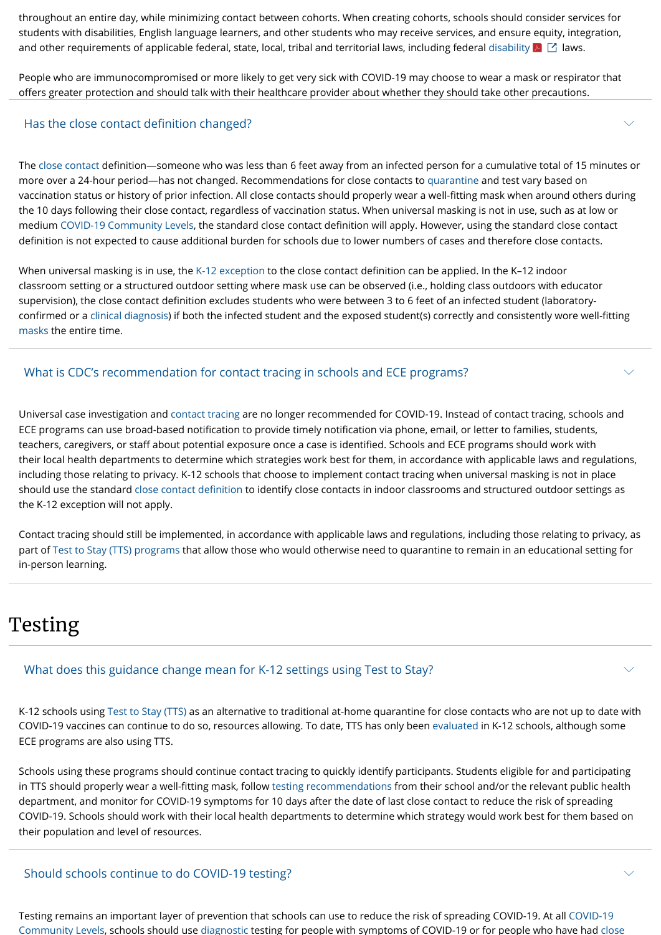throughout an entire day, while minimizing contact between cohorts. When creating cohorts, schools should consider services for students with disabilities, English language learners, and other students who may receive services, and ensure equity, integration, and other requirements of applicable federal, state, local, tribal and territorial laws, including federal [disability](https://www2.ed.gov/documents/coronavirus/letter-to-educators-and-parents-regarding-new-cdc-recommendations-03-24-2022.pdf)  $\blacktriangleright\,\Box$  laws.

People who are immunocompromised or more likely to get very sick with COVID-19 may choose to wear a mask or respirator that offers greater protection and should talk with their healthcare provider about whether they should take other precautions.

When universal masking is in use, the [K-12 exception](https://www.cdc.gov/coronavirus/2019-ncov/php/contact-tracing/contact-tracing-plan/appendix.html#contact) to the close contact definition can be applied. In the K-12 indoor classroom setting or a structured outdoor setting where mask use can be observed (i.e., holding class outdoors with educator supervision), the close contact definition excludes students who were between 3 to 6 feet of an infected student (laboratoryconfirmed or a [clinical diagnosis\)](https://ndc.services.cdc.gov/case-definitions/coronavirus-disease-2019-2021/) if both the infected student and the exposed student(s) correctly and consistently wore well-fitting [masks](https://www.cdc.gov/coronavirus/2019-ncov/prevent-getting-sick/about-face-coverings.html) the entire time.

The [close contact](https://www.cdc.gov/coronavirus/2019-ncov/php/contact-tracing/contact-tracing-plan/appendix.html#contact) definition—someone who was less than 6 feet away from an infected person for a cumulative total of 15 minutes or more over a 24-hour period—has not changed. Recommendations for close contacts to [quarantine](https://www.cdc.gov/coronavirus/2019-ncov/your-health/quarantine-isolation.html) and test vary based on vaccination status or history of prior infection. All close contacts should properly wear a well-fitting mask when around others during the 10 days following their close contact, regardless of vaccination status. When universal masking is not in use, such as at low or medium [COVID-19 Community Levels,](https://www.cdc.gov/coronavirus/2019-ncov/science/community-levels.html) the standard close contact definition will apply. However, using the standard close contact definition is not expected to cause additional burden for schools due to lower numbers of cases and therefore close contacts.

#### Has the close contact definition changed?

Universal case investigation and [contact tracing](https://www.cdc.gov/coronavirus/2019-ncov/php/contact-tracing/contact-tracing-plan/prioritization.html) are no longer recommended for COVID-19. Instead of contact tracing, schools and ECE programs can use broad-based notification to provide timely notification via phone, email, or letter to families, students, teachers, caregivers, or staff about potential exposure once a case is identified. Schools and ECE programs should work with their local health departments to determine which strategies work best for them, in accordance with applicable laws and regulations, including those relating to privacy. K-12 schools that choose to implement contact tracing when universal masking is not in place should use the standard [close contact definition](https://www.cdc.gov/coronavirus/2019-ncov/php/contact-tracing/contact-tracing-plan/appendix.html#contact) to identify close contacts in indoor classrooms and structured outdoor settings as the K-12 exception will not apply.

Contact tracing should still be implemented, in accordance with applicable laws and regulations, including those relating to privacy, as part of [Test to Stay \(TTS\) programs](https://www.cdc.gov/coronavirus/2019-ncov/community/schools-childcare/what-you-should-know.html#anchor_1642695652184) that allow those who would otherwise need to quarantine to remain in an educational setting for in-person learning.

### What is CDC's recommendation for contact tracing in schools and ECE programs?

## Testing

K-12 schools using [Test to Stay \(TTS\)](https://www.cdc.gov/coronavirus/2019-ncov/community/schools-childcare/what-you-should-know.html#anchor_1642695652184) as an alternative to traditional at-home quarantine for close contacts who are not up to date with COVID-19 vaccines can continue to do so, resources allowing. To date, TTS has only been [evaluated](https://www.cdc.gov/coronavirus/2019-ncov/science/science-briefs/transmission_k_12_schools.html#anchor_1639603965438) in K-12 schools, although some ECE programs are also using TTS.

Schools using these programs should continue contact tracing to quickly identify participants. Students eligible for and participating in TTS should properly wear a well-fitting mask, follow [testing recommendations](https://www.cdc.gov/coronavirus/2019-ncov/your-health/quarantine-isolation.html) from their school and/or the relevant public health department, and monitor for COVID-19 symptoms for 10 days after the date of last close contact to reduce the risk of spreading COVID-19. Schools should work with their local health departments to determine which strategy would work best for them based on their population and level of resources.

 $\smile$ 

 $\checkmark$ 

 $\smile$ 

[Testing remains an important layer of prevention that schools can use to reduce the risk of spreading COVID-19. At all COVID-19](https://www.cdc.gov/coronavirus/2019-ncov/science/community-levels.html) [Community Levels, schools should use d](https://www.cdc.gov/coronavirus/2019-ncov/php/contact-tracing/contact-tracing-plan/appendix.html#contact)[iagnostic](https://www.cdc.gov/coronavirus/2019-ncov/lab/resources/sars-cov2-testing-strategies.html#anchor_1615061452203) [testing for people with symptoms of COVID-19 or for people who have had close](https://www.cdc.gov/coronavirus/2019-ncov/php/contact-tracing/contact-tracing-plan/appendix.html#contact)

#### Should schools continue to do COVID-19 testing?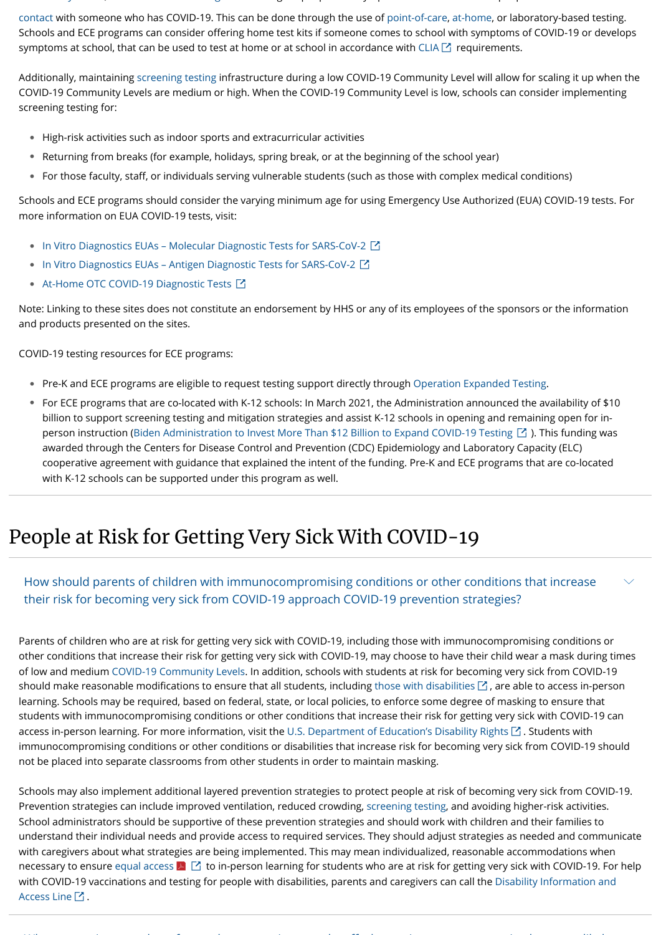y , [g](https://www.cdc.gov/coronavirus/2019-ncov/lab/resources/sars-cov2-testing-strategies.html#anchor_1615061452203) g [p](https://www.cdc.gov/coronavirus/2019-ncov/science/community-levels.html) p y p p p

[contact with someone who has COVID-19. This can be done through the use of point-of-care, at-home, or laboratory-based testing.](https://www.cdc.gov/coronavirus/2019-ncov/php/contact-tracing/contact-tracing-plan/appendix.html#contact) Schools and ECE programs can consider offering home test kits if someone comes to school with symptoms of COVID-19 or develops symptoms at school, that can be used to test at home or at school in accordance with [CLIA](https://www.cms.gov/Regulations-and-Guidance/Legislation/CLIA)  $\boxtimes$  requirements.

- High-risk activities such as indoor sports and extracurricular activities •
- Returning from breaks (for example, holidays, spring break, or at the beginning of the school year) •
- For those faculty, staff, or individuals serving vulnerable students (such as those with complex medical conditions)  $\bullet$

Additionally, maintaining [screening testing](https://www.cdc.gov/coronavirus/2019-ncov/hcp/testing-overview.html) infrastructure during a low COVID-19 Community Level will allow for scaling it up when the COVID-19 Community Levels are medium or high. When the COVID-19 Community Level is low, schools can consider implementing screening testing for:

Schools and ECE programs should consider the varying minimum age for using Emergency Use Authorized (EUA) COVID-19 tests. For more information on EUA COVID-19 tests, visit:

- In Vitro Diagnostics EUAs Molecular Diagnostic Tests for SARS-CoV-2
- [In Vitro Diagnostics EUAs Antigen Diagnostic Tests for SARS-CoV-2](https://www.fda.gov/medical-devices/coronavirus-disease-2019-covid-19-emergency-use-authorizations-medical-devices/in-vitro-diagnostics-euas-antigen-diagnostic-tests-sars-cov-2)
- [At-Home OTC COVID-19 Diagnostic Tests](https://www.fda.gov/medical-devices/coronavirus-covid-19-and-medical-devices/home-otc-covid-19-diagnostic-tests) ■

- Pre-K and ECE programs are eligible to request testing support directly through [Operation Expanded Testing](https://www.cdc.gov/coronavirus/2019-ncov/testing/operation-expanded-testing.html).
- For ECE programs that are co-located with K-12 schools: In March 2021, the Administration announced the availability of \$10 billion to support screening testing and mitigation strategies and assist K-12 schools in opening and remaining open for in-person instruction [\(Biden Administration to Invest More Than \\$12 Billion to Expand COVID-19 Testing](https://www.hhs.gov/about/news/2021/03/17/biden-administration-invest-more-than-12-billion-expand-covid-19-testing.html)  $\boxtimes$  ). This funding was awarded through the Centers for Disease Control and Prevention (CDC) Epidemiology and Laboratory Capacity (ELC) cooperative agreement with guidance that explained the intent of the funding. Pre-K and ECE programs that are co-located with K-12 schools can be supported under this program as well.

Note: Linking to these sites does not constitute an endorsement by HHS or any of its employees of the sponsors or the information and products presented on the sites.

COVID-19 testing resources for ECE programs:

Schools may also implement additional layered prevention strategies to protect people at risk of becoming very sick from COVID-19. Prevention strategies can include improved ventilation, reduced crowding, [screening testing,](https://www.cdc.gov/coronavirus/2019-ncov/community/schools-childcare/what-you-should-know.html) and avoiding higher-risk activities. School administrators should be supportive of these prevention strategies and should work with children and their families to understand their individual needs and provide access to required services. They should adjust strategies as needed and communicate with caregivers about what strategies are being implemented. This may mean individualized, reasonable accommodations when necessary to ensure [equal access](https://www2.ed.gov/documents/coronavirus/letter-to-educators-and-parents-regarding-new-cdc-recommendations-03-24-2022.pdf)  $\blacktriangleright\,\blacksquare$  to in-person learning for students who are at risk for getting very sick with COVID-19. For help [with COVID-19 vaccinations and testing for people with disabilities, parents and caregivers can call the Disability Information and](https://acl.gov/DIAL) Access Line  $\boxtimes$  .

When it is a final model of the final model in the final model in the final model in the final model in the final model in the final model in the final model in the final model in the final model in the final model in the

## People at Risk for Getting Very Sick With COVID-19

Parents of children who are at risk for getting very sick with COVID-19, including those with immunocompromising conditions or other conditions that increase their risk for getting very sick with COVID-19, may choose to have their child wear a mask during times of low and medium [COVID-19 Community Levels](https://www.cdc.gov/coronavirus/2019-ncov/science/community-levels.html). In addition, schools with students at risk for becoming very sick from COVID-19 should make reasonable modifications to ensure that all students, including [those with disabilities](https://www.ed.gov/coronavirus/factsheets/disability-rights)  $\boxtimes$  , are able to access in-person learning. Schools may be required, based on federal, state, or local policies, to enforce some degree of masking to ensure that students with immunocompromising conditions or other conditions that increase their risk for getting very sick with COVID-19 can access in-person learning. For more information, visit the [U.S. Department of Education's Disability Rights](https://www.ed.gov/coronavirus/factsheets/disability-rights)  $\boxtimes$  . Students with immunocompromising conditions or other conditions or disabilities that increase risk for becoming very sick from COVID-19 should not be placed into separate classrooms from other students in order to maintain masking.

How should parents of children with immunocompromising conditions or other conditions that increase their risk for becoming very sick from COVID-19 approach COVID-19 prevention strategies?

 $\smile$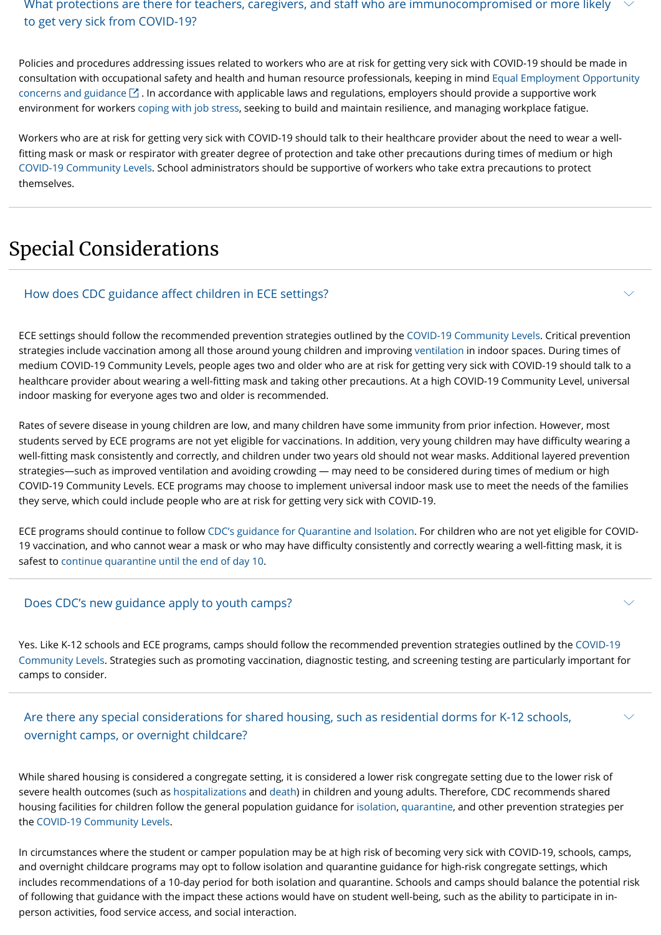Policies and procedures addressing issues related to workers who are at risk for getting very sick with COVID-19 should be made in [consultation with occupational safety and health and human resource professionals, keeping in mind Equal Employment Opportunity](https://www.eeoc.gov/coronavirus) concerns and guidance  $\boxtimes$  . In accordance with applicable laws and regulations, employers should provide a supportive work environment for workers [coping with job stress,](https://www.cdc.gov/mentalhealth/stress-coping/employee-job-stress/index.html) seeking to build and maintain resilience, and managing workplace fatigue.

What protections are there for teachers, caregivers, and staff who are immunocompromised or more likely to get very sick from COVID-19?  $\checkmark$ 

Workers who are at risk for getting very sick with COVID-19 should talk to their healthcare provider about the need to wear a well fitting mask or mask or respirator with greater degree of protection and take other precautions during times of medium or high [COVID-19 Community Levels.](https://www.cdc.gov/coronavirus/2019-ncov/science/community-levels.html) School administrators should be supportive of workers who take extra precautions to protect themselves.

## Special Considerations

ECE settings should follow the recommended prevention strategies outlined by the [COVID-19 Community Levels](https://www.cdc.gov/coronavirus/2019-ncov/science/community-levels.html). Critical prevention strategies include vaccination among all those around young children and improving [ventilation](https://www.cdc.gov/coronavirus/2019-ncov/community/schools-childcare/ventilation.html) in indoor spaces. During times of medium COVID-19 Community Levels, people ages two and older who are at risk for getting very sick with COVID-19 should talk to a healthcare provider about wearing a well-fitting mask and taking other precautions. At a high COVID-19 Community Level, universal indoor masking for everyone ages two and older is recommended.

Rates of severe disease in young children are low, and many children have some immunity from prior infection. However, most students served by ECE programs are not yet eligible for vaccinations. In addition, very young children may have difficulty wearing a well-fitting mask consistently and correctly, and children under two years old should not wear masks. Additional layered prevention strategies—such as improved ventilation and avoiding crowding — may need to be considered during times of medium or high COVID-19 Community Levels. ECE programs may choose to implement universal indoor mask use to meet the needs of the families they serve, which could include people who are at risk for getting very sick with COVID-19.

#### Are there any special considerations for shared housing, such as residential dorms for K-12 schools, overnight camps, or overnight childcare?  $\smile$

ECE programs should continue to follow [CDC's guidance for Quarantine and Isolation.](https://www.cdc.gov/coronavirus/2019-ncov/your-health/quarantine-isolation.html) For children who are not yet eligible for COVID-19 vaccination, and who cannot wear a mask or who may have difficulty consistently and correctly wearing a well-fitting mask, it is safest to [continue quarantine until the end of day 10.](https://www.cdc.gov/coronavirus/2019-ncov/community/schools-childcare/sick-at-child-care-flowchart.html)

### How does CDC guidance affect children in ECE settings?

Yes. Like K-12 schools and ECE programs, camps should follow the recommended prevention strategies outlined by the COVID-19 [Community Levels. Strategies such as promoting vaccination, diagnostic testing, and screening testing are particularly important fo](https://www.cdc.gov/coronavirus/2019-ncov/science/community-levels.html)r camps to consider.

 $\smile$ 

 $\smile$ 

### Does CDC's new guidance apply to youth camps?

While shared housing is considered a congregate setting, it is considered a lower risk congregate setting due to the lower risk of severe health outcomes (such as [hospitalizations](https://covid.cdc.gov/covid-data-tracker/#new-hospital-admissions) and [death\)](https://covid.cdc.gov/covid-data-tracker/#demographicsovertime) in children and young adults. Therefore, CDC recommends shared housing facilities for children follow the general population guidance for [isolation](https://www.cdc.gov/coronavirus/2019-ncov/your-health/quarantine-isolation.html#isolate), [quarantine](https://www.cdc.gov/coronavirus/2019-ncov/your-health/quarantine-isolation.html#quarantine), and other prevention strategies per the [COVID-19 Community Levels.](https://www.cdc.gov/coronavirus/2019-ncov/science/community-levels.html)

In circumstances where the student or camper population may be at high risk of becoming very sick with COVID-19, schools, camps, and overnight childcare programs may opt to follow isolation and quarantine guidance for high-risk congregate settings, which includes recommendations of a 10-day period for both isolation and quarantine. Schools and camps should balance the potential risk of following that guidance with the impact these actions would have on student well-being, such as the ability to participate in inperson activities, food service access, and social interaction.